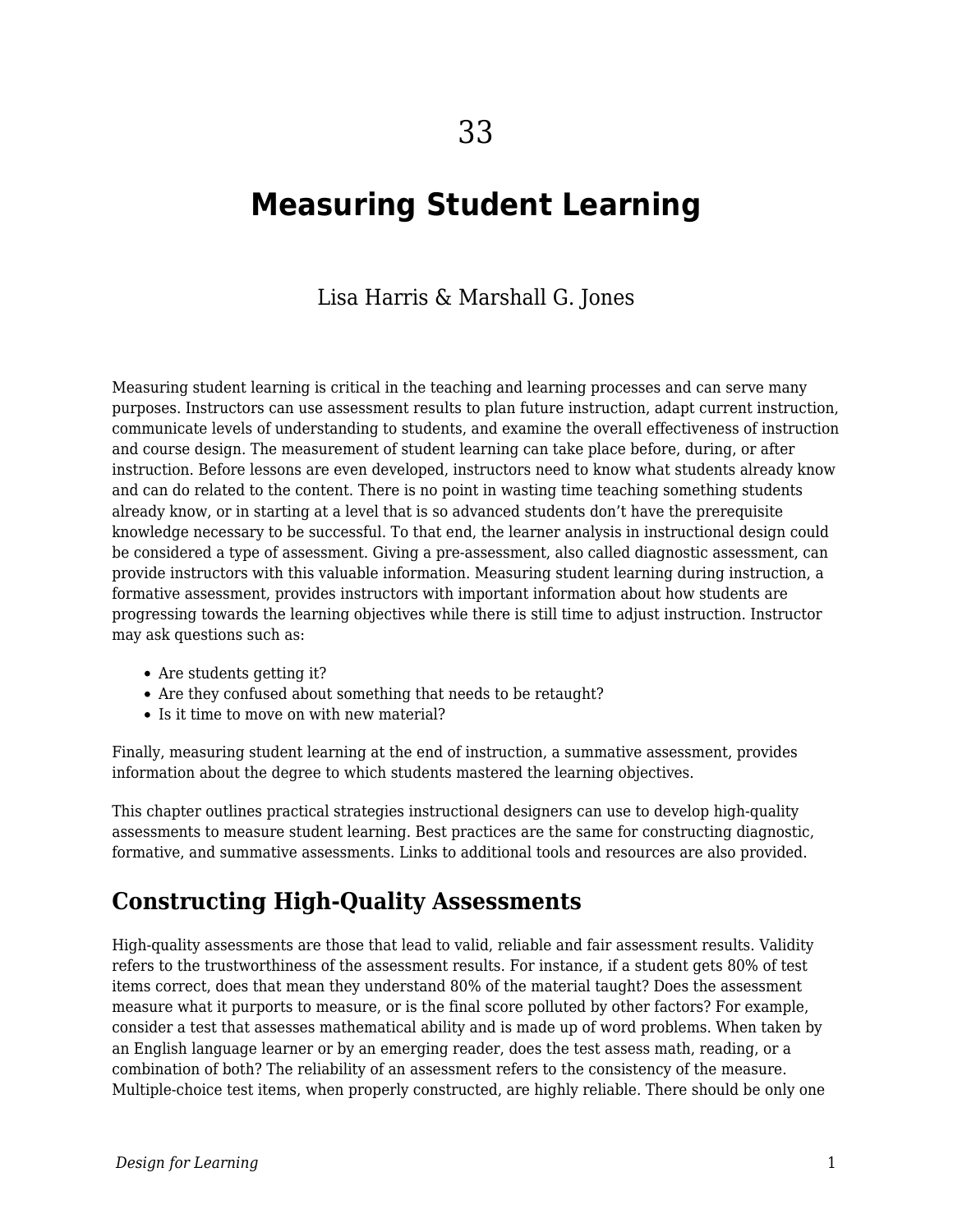# **Measuring Student Learning**

# Lisa Harris & Marshall G. Jones

Measuring student learning is critical in the teaching and learning processes and can serve many purposes. Instructors can use assessment results to plan future instruction, adapt current instruction, communicate levels of understanding to students, and examine the overall effectiveness of instruction and course design. The measurement of student learning can take place before, during, or after instruction. Before lessons are even developed, instructors need to know what students already know and can do related to the content. There is no point in wasting time teaching something students already know, or in starting at a level that is so advanced students don't have the prerequisite knowledge necessary to be successful. To that end, the learner analysis in instructional design could be considered a type of assessment. Giving a pre-assessment, also called diagnostic assessment, can provide instructors with this valuable information. Measuring student learning during instruction, a formative assessment, provides instructors with important information about how students are progressing towards the learning objectives while there is still time to adjust instruction. Instructor may ask questions such as:

- Are students getting it?
- Are they confused about something that needs to be retaught?
- Is it time to move on with new material?

Finally, measuring student learning at the end of instruction, a summative assessment, provides information about the degree to which students mastered the learning objectives.

This chapter outlines practical strategies instructional designers can use to develop high-quality assessments to measure student learning. Best practices are the same for constructing diagnostic, formative, and summative assessments. Links to additional tools and resources are also provided.

# **Constructing High-Quality Assessments**

High-quality assessments are those that lead to valid, reliable and fair assessment results. Validity refers to the trustworthiness of the assessment results. For instance, if a student gets 80% of test items correct, does that mean they understand 80% of the material taught? Does the assessment measure what it purports to measure, or is the final score polluted by other factors? For example, consider a test that assesses mathematical ability and is made up of word problems. When taken by an English language learner or by an emerging reader, does the test assess math, reading, or a combination of both? The reliability of an assessment refers to the consistency of the measure. Multiple-choice test items, when properly constructed, are highly reliable. There should be only one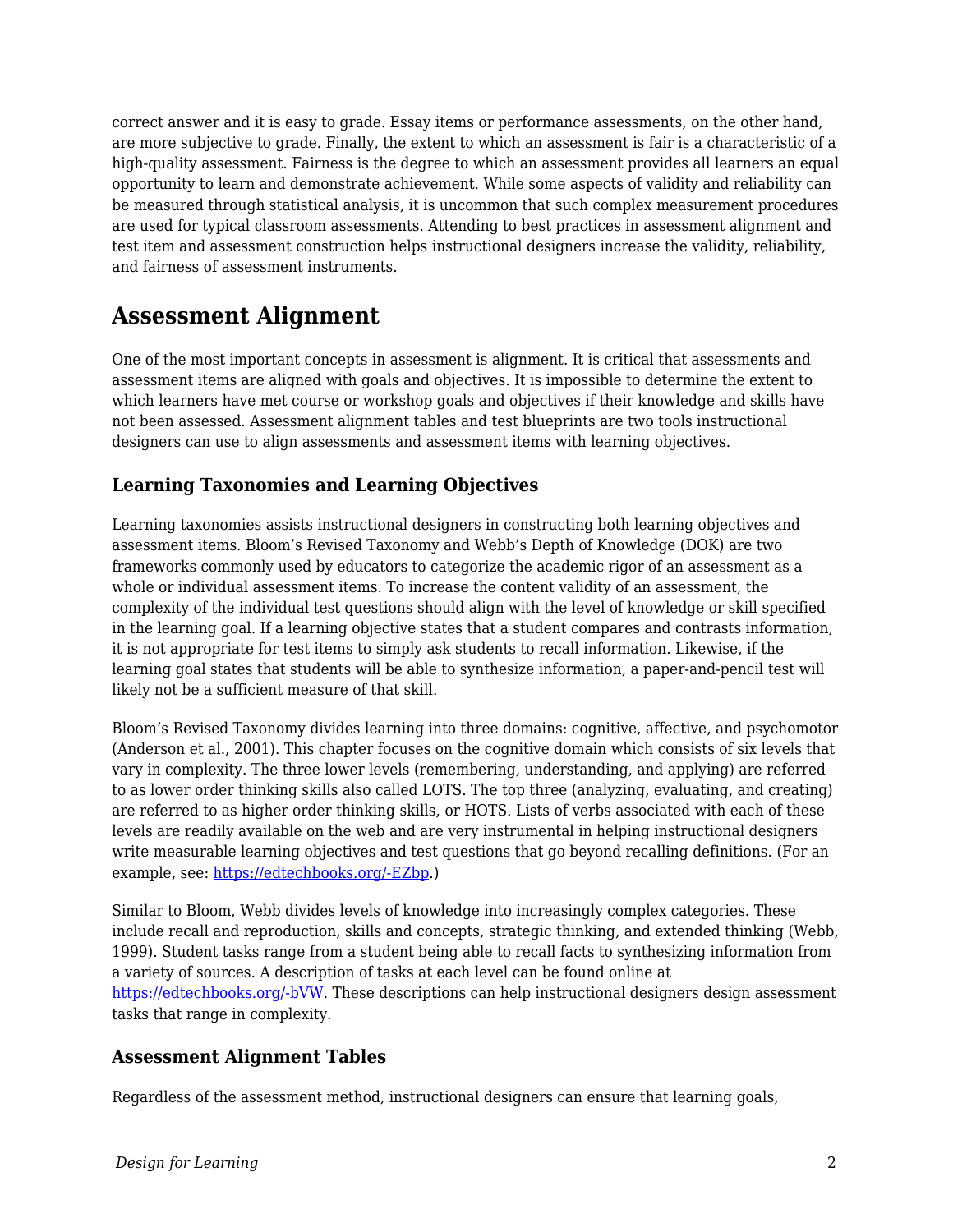correct answer and it is easy to grade. Essay items or performance assessments, on the other hand, are more subjective to grade. Finally, the extent to which an assessment is fair is a characteristic of a high-quality assessment. Fairness is the degree to which an assessment provides all learners an equal opportunity to learn and demonstrate achievement. While some aspects of validity and reliability can be measured through statistical analysis, it is uncommon that such complex measurement procedures are used for typical classroom assessments. Attending to best practices in assessment alignment and test item and assessment construction helps instructional designers increase the validity, reliability, and fairness of assessment instruments.

# **Assessment Alignment**

One of the most important concepts in assessment is alignment. It is critical that assessments and assessment items are aligned with goals and objectives. It is impossible to determine the extent to which learners have met course or workshop goals and objectives if their knowledge and skills have not been assessed. Assessment alignment tables and test blueprints are two tools instructional designers can use to align assessments and assessment items with learning objectives.

## **Learning Taxonomies and Learning Objectives**

Learning taxonomies assists instructional designers in constructing both learning objectives and assessment items. Bloom's Revised Taxonomy and Webb's Depth of Knowledge (DOK) are two frameworks commonly used by educators to categorize the academic rigor of an assessment as a whole or individual assessment items. To increase the content validity of an assessment, the complexity of the individual test questions should align with the level of knowledge or skill specified in the learning goal. If a learning objective states that a student compares and contrasts information, it is not appropriate for test items to simply ask students to recall information. Likewise, if the learning goal states that students will be able to synthesize information, a paper-and-pencil test will likely not be a sufficient measure of that skill.

Bloom's Revised Taxonomy divides learning into three domains: cognitive, affective, and psychomotor (Anderson et al., 2001). This chapter focuses on the cognitive domain which consists of six levels that vary in complexity. The three lower levels (remembering, understanding, and applying) are referred to as lower order thinking skills also called LOTS. The top three (analyzing, evaluating, and creating) are referred to as higher order thinking skills, or HOTS. Lists of verbs associated with each of these levels are readily available on the web and are very instrumental in helping instructional designers write measurable learning objectives and test questions that go beyond recalling definitions. (For an example, see: [https://edtechbooks.org/-EZbp.](https://www.teachthought.com/critical-thinking/249-blooms-taxonomy-verbs-for-critical-thinking/))

Similar to Bloom, Webb divides levels of knowledge into increasingly complex categories. These include recall and reproduction, skills and concepts, strategic thinking, and extended thinking (Webb, 1999). Student tasks range from a student being able to recall facts to synthesizing information from a variety of sources. A description of tasks at each level can be found online at [https://edtechbooks.org/-bVW.](https://blog.edmentum.com/webb%E2%80%99s-depth-knowledge-framework-basics) These descriptions can help instructional designers design assessment tasks that range in complexity.

## **Assessment Alignment Tables**

Regardless of the assessment method, instructional designers can ensure that learning goals,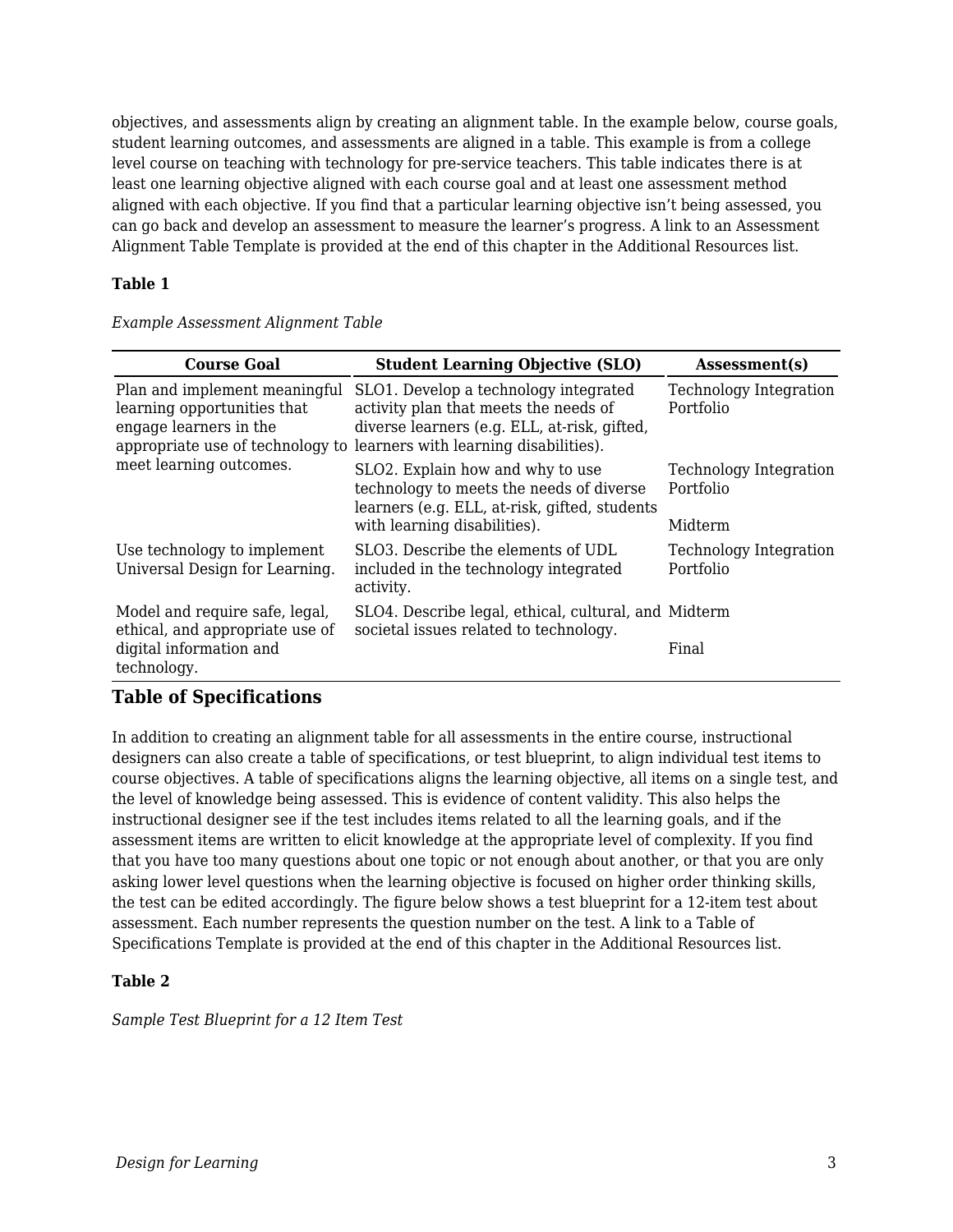objectives, and assessments align by creating an alignment table. In the example below, course goals, student learning outcomes, and assessments are aligned in a table. This example is from a college level course on teaching with technology for pre-service teachers. This table indicates there is at least one learning objective aligned with each course goal and at least one assessment method aligned with each objective. If you find that a particular learning objective isn't being assessed, you can go back and develop an assessment to measure the learner's progress. A link to an Assessment Alignment Table Template is provided at the end of this chapter in the Additional Resources list.

#### **Table 1**

*Example Assessment Alignment Table*

| <b>Course Goal</b>                                                                                          | <b>Student Learning Objective (SLO)</b>                                                                                                                                                                  | Assessment(s)                                  |
|-------------------------------------------------------------------------------------------------------------|----------------------------------------------------------------------------------------------------------------------------------------------------------------------------------------------------------|------------------------------------------------|
| Plan and implement meaningful<br>learning opportunities that<br>engage learners in the                      | SLO1. Develop a technology integrated<br>activity plan that meets the needs of<br>diverse learners (e.g. ELL, at-risk, gifted,<br>appropriate use of technology to learners with learning disabilities). | Technology Integration<br>Portfolio            |
| meet learning outcomes.                                                                                     | SLO <sub>2</sub> . Explain how and why to use<br>technology to meets the needs of diverse<br>learners (e.g. ELL, at-risk, gifted, students<br>with learning disabilities).                               | Technology Integration<br>Portfolio<br>Midterm |
| Use technology to implement<br>Universal Design for Learning.                                               | SLO3. Describe the elements of UDL<br>included in the technology integrated<br>activity.                                                                                                                 | Technology Integration<br>Portfolio            |
| Model and require safe, legal,<br>ethical, and appropriate use of<br>digital information and<br>technology. | SLO4. Describe legal, ethical, cultural, and Midterm<br>societal issues related to technology.                                                                                                           | Final                                          |

#### **Table of Specifications**

In addition to creating an alignment table for all assessments in the entire course, instructional designers can also create a table of specifications, or test blueprint, to align individual test items to course objectives. A table of specifications aligns the learning objective, all items on a single test, and the level of knowledge being assessed. This is evidence of content validity. This also helps the instructional designer see if the test includes items related to all the learning goals, and if the assessment items are written to elicit knowledge at the appropriate level of complexity. If you find that you have too many questions about one topic or not enough about another, or that you are only asking lower level questions when the learning objective is focused on higher order thinking skills, the test can be edited accordingly. The figure below shows a test blueprint for a 12-item test about assessment. Each number represents the question number on the test. A link to a Table of Specifications Template is provided at the end of this chapter in the Additional Resources list.

#### **Table 2**

*Sample Test Blueprint for a 12 Item Test*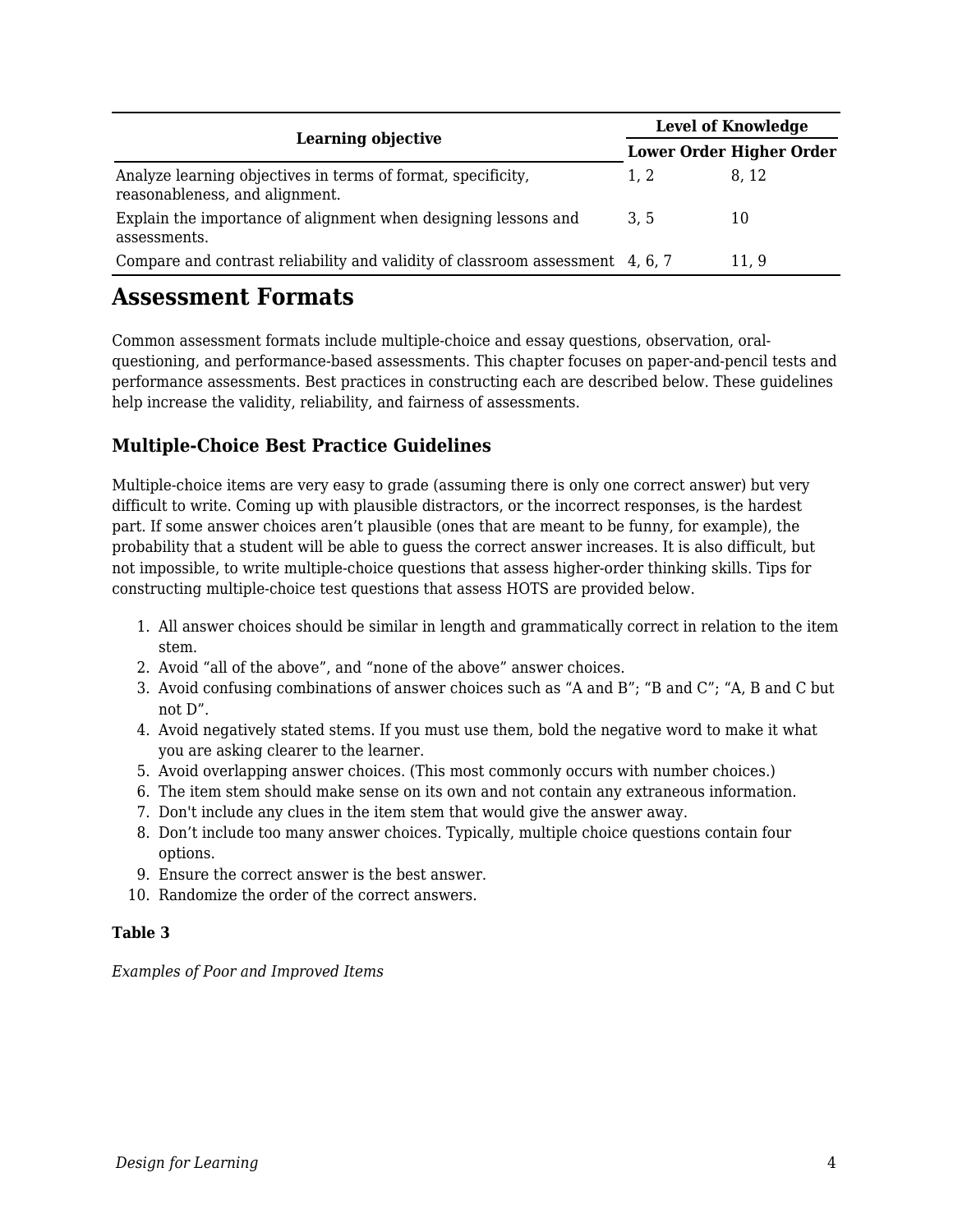|                                                                                                | <b>Level of Knowledge</b> |                                 |
|------------------------------------------------------------------------------------------------|---------------------------|---------------------------------|
| <b>Learning objective</b>                                                                      |                           | <b>Lower Order Higher Order</b> |
| Analyze learning objectives in terms of format, specificity,<br>reasonableness, and alignment. | 1.2                       | 8.12                            |
| Explain the importance of alignment when designing lessons and<br>assessments.                 | 3.5                       | 10                              |
| Compare and contrast reliability and validity of classroom assessment 4, 6, 7                  |                           | 11, 9                           |

# **Assessment Formats**

Common assessment formats include multiple-choice and essay questions, observation, oralquestioning, and performance-based assessments. This chapter focuses on paper-and-pencil tests and performance assessments. Best practices in constructing each are described below. These guidelines help increase the validity, reliability, and fairness of assessments.

# **Multiple-Choice Best Practice Guidelines**

Multiple-choice items are very easy to grade (assuming there is only one correct answer) but very difficult to write. Coming up with plausible distractors, or the incorrect responses, is the hardest part. If some answer choices aren't plausible (ones that are meant to be funny, for example), the probability that a student will be able to guess the correct answer increases. It is also difficult, but not impossible, to write multiple-choice questions that assess higher-order thinking skills. Tips for constructing multiple-choice test questions that assess HOTS are provided below.

- 1. All answer choices should be similar in length and grammatically correct in relation to the item stem.
- 2. Avoid "all of the above", and "none of the above" answer choices.
- 3. Avoid confusing combinations of answer choices such as "A and B"; "B and C"; "A, B and C but not D".
- 4. Avoid negatively stated stems. If you must use them, bold the negative word to make it what you are asking clearer to the learner.
- 5. Avoid overlapping answer choices. (This most commonly occurs with number choices.)
- 6. The item stem should make sense on its own and not contain any extraneous information.
- 7. Don't include any clues in the item stem that would give the answer away.
- 8. Don't include too many answer choices. Typically, multiple choice questions contain four options.
- 9. Ensure the correct answer is the best answer.
- 10. Randomize the order of the correct answers.

#### **Table 3**

*Examples of Poor and Improved Items*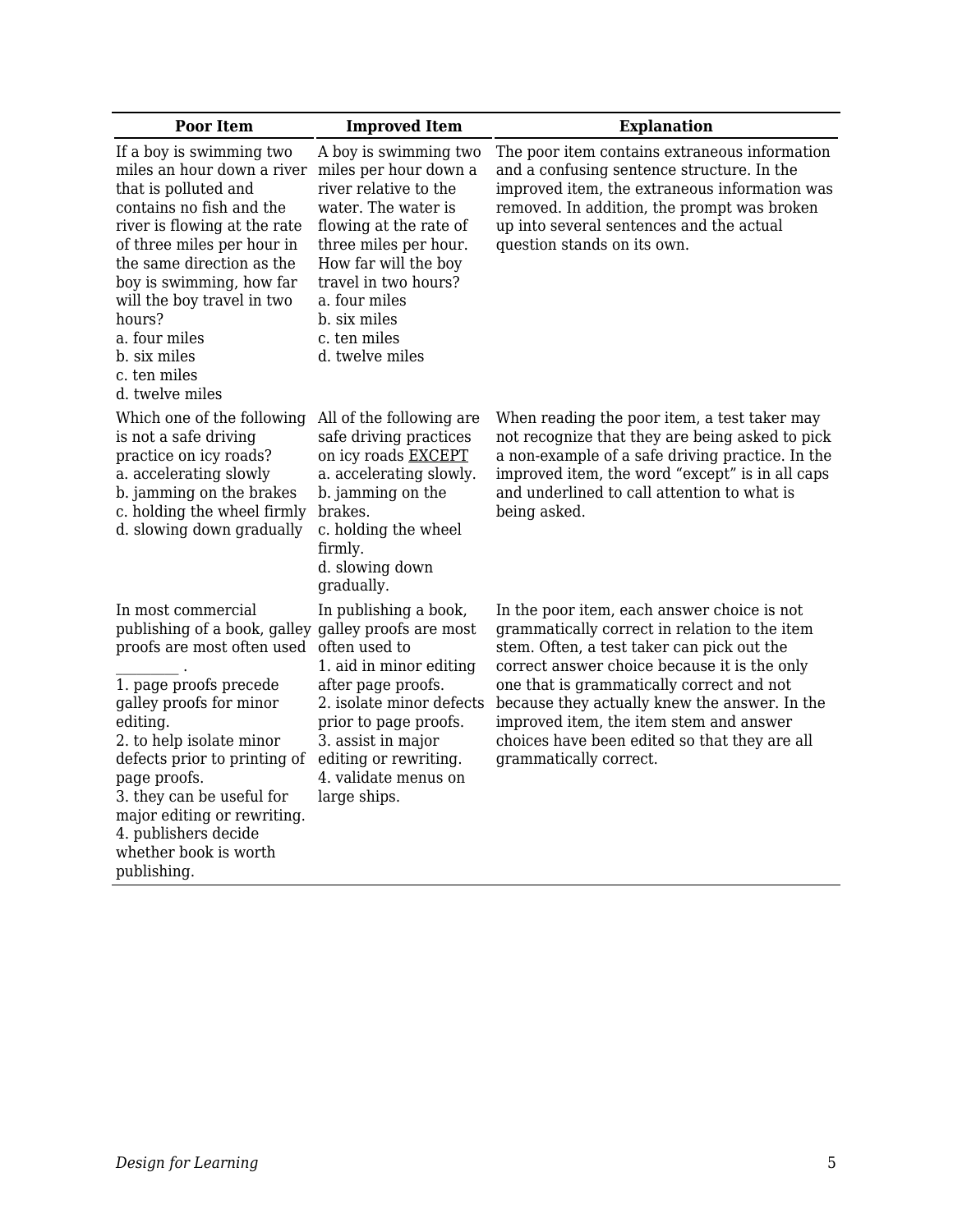| <b>Poor Item</b>                                                                                                                                                                                                                                                                                                                                                                 | <b>Improved Item</b>                                                                                                                                                                                                                                                  | <b>Explanation</b>                                                                                                                                                                                                                                                                                                                                                                                             |
|----------------------------------------------------------------------------------------------------------------------------------------------------------------------------------------------------------------------------------------------------------------------------------------------------------------------------------------------------------------------------------|-----------------------------------------------------------------------------------------------------------------------------------------------------------------------------------------------------------------------------------------------------------------------|----------------------------------------------------------------------------------------------------------------------------------------------------------------------------------------------------------------------------------------------------------------------------------------------------------------------------------------------------------------------------------------------------------------|
| If a boy is swimming two<br>miles an hour down a river<br>that is polluted and<br>contains no fish and the<br>river is flowing at the rate<br>of three miles per hour in<br>the same direction as the<br>boy is swimming, how far<br>will the boy travel in two<br>hours?<br>a. four miles<br>b. six miles<br>c. ten miles<br>d. twelve miles                                    | A boy is swimming two<br>miles per hour down a<br>river relative to the<br>water. The water is<br>flowing at the rate of<br>three miles per hour.<br>How far will the boy<br>travel in two hours?<br>a. four miles<br>b. six miles<br>c. ten miles<br>d. twelve miles | The poor item contains extraneous information<br>and a confusing sentence structure. In the<br>improved item, the extraneous information was<br>removed. In addition, the prompt was broken<br>up into several sentences and the actual<br>question stands on its own.                                                                                                                                         |
| Which one of the following<br>is not a safe driving<br>practice on icy roads?<br>a. accelerating slowly<br>b. jamming on the brakes<br>c. holding the wheel firmly<br>d. slowing down gradually                                                                                                                                                                                  | All of the following are<br>safe driving practices<br>on icy roads EXCEPT<br>a. accelerating slowly.<br>b. jamming on the<br>brakes.<br>c. holding the wheel<br>firmly.<br>d. slowing down<br>gradually.                                                              | When reading the poor item, a test taker may<br>not recognize that they are being asked to pick<br>a non-example of a safe driving practice. In the<br>improved item, the word "except" is in all caps<br>and underlined to call attention to what is<br>being asked.                                                                                                                                          |
| In most commercial<br>publishing of a book, galley galley proofs are most<br>proofs are most often used<br>1. page proofs precede<br>galley proofs for minor<br>editing.<br>2. to help isolate minor<br>defects prior to printing of<br>page proofs.<br>3. they can be useful for<br>major editing or rewriting.<br>4. publishers decide<br>whether book is worth<br>publishing. | In publishing a book,<br>often used to<br>1. aid in minor editing<br>after page proofs.<br>2. isolate minor defects<br>prior to page proofs.<br>3. assist in major<br>editing or rewriting.<br>4. validate menus on<br>large ships.                                   | In the poor item, each answer choice is not<br>grammatically correct in relation to the item<br>stem. Often, a test taker can pick out the<br>correct answer choice because it is the only<br>one that is grammatically correct and not<br>because they actually knew the answer. In the<br>improved item, the item stem and answer<br>choices have been edited so that they are all<br>grammatically correct. |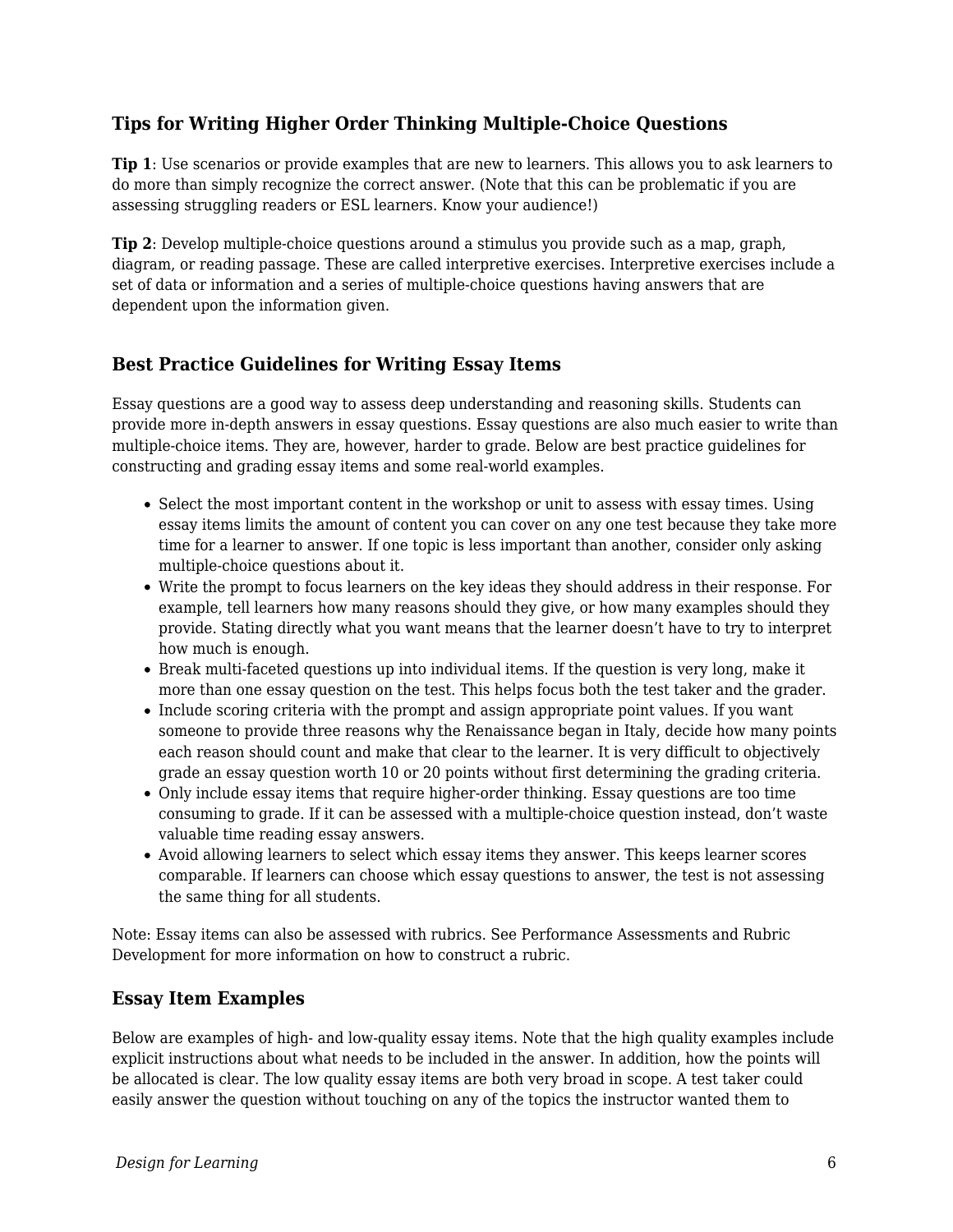## **Tips for Writing Higher Order Thinking Multiple-Choice Questions**

**Tip 1**: Use scenarios or provide examples that are new to learners. This allows you to ask learners to do more than simply recognize the correct answer. (Note that this can be problematic if you are assessing struggling readers or ESL learners. Know your audience!)

**Tip 2**: Develop multiple-choice questions around a stimulus you provide such as a map, graph, diagram, or reading passage. These are called interpretive exercises. Interpretive exercises include a set of data or information and a series of multiple-choice questions having answers that are dependent upon the information given.

## **Best Practice Guidelines for Writing Essay Items**

Essay questions are a good way to assess deep understanding and reasoning skills. Students can provide more in-depth answers in essay questions. Essay questions are also much easier to write than multiple-choice items. They are, however, harder to grade. Below are best practice guidelines for constructing and grading essay items and some real-world examples.

- Select the most important content in the workshop or unit to assess with essay times. Using essay items limits the amount of content you can cover on any one test because they take more time for a learner to answer. If one topic is less important than another, consider only asking multiple-choice questions about it.
- Write the prompt to focus learners on the key ideas they should address in their response. For example, tell learners how many reasons should they give, or how many examples should they provide. Stating directly what you want means that the learner doesn't have to try to interpret how much is enough.
- Break multi-faceted questions up into individual items. If the question is very long, make it more than one essay question on the test. This helps focus both the test taker and the grader.
- Include scoring criteria with the prompt and assign appropriate point values. If you want someone to provide three reasons why the Renaissance began in Italy, decide how many points each reason should count and make that clear to the learner. It is very difficult to objectively grade an essay question worth 10 or 20 points without first determining the grading criteria.
- Only include essay items that require higher-order thinking. Essay questions are too time consuming to grade. If it can be assessed with a multiple-choice question instead, don't waste valuable time reading essay answers.
- Avoid allowing learners to select which essay items they answer. This keeps learner scores comparable. If learners can choose which essay questions to answer, the test is not assessing the same thing for all students.

Note: Essay items can also be assessed with rubrics. See Performance Assessments and Rubric Development for more information on how to construct a rubric.

## **Essay Item Examples**

Below are examples of high- and low-quality essay items. Note that the high quality examples include explicit instructions about what needs to be included in the answer. In addition, how the points will be allocated is clear. The low quality essay items are both very broad in scope. A test taker could easily answer the question without touching on any of the topics the instructor wanted them to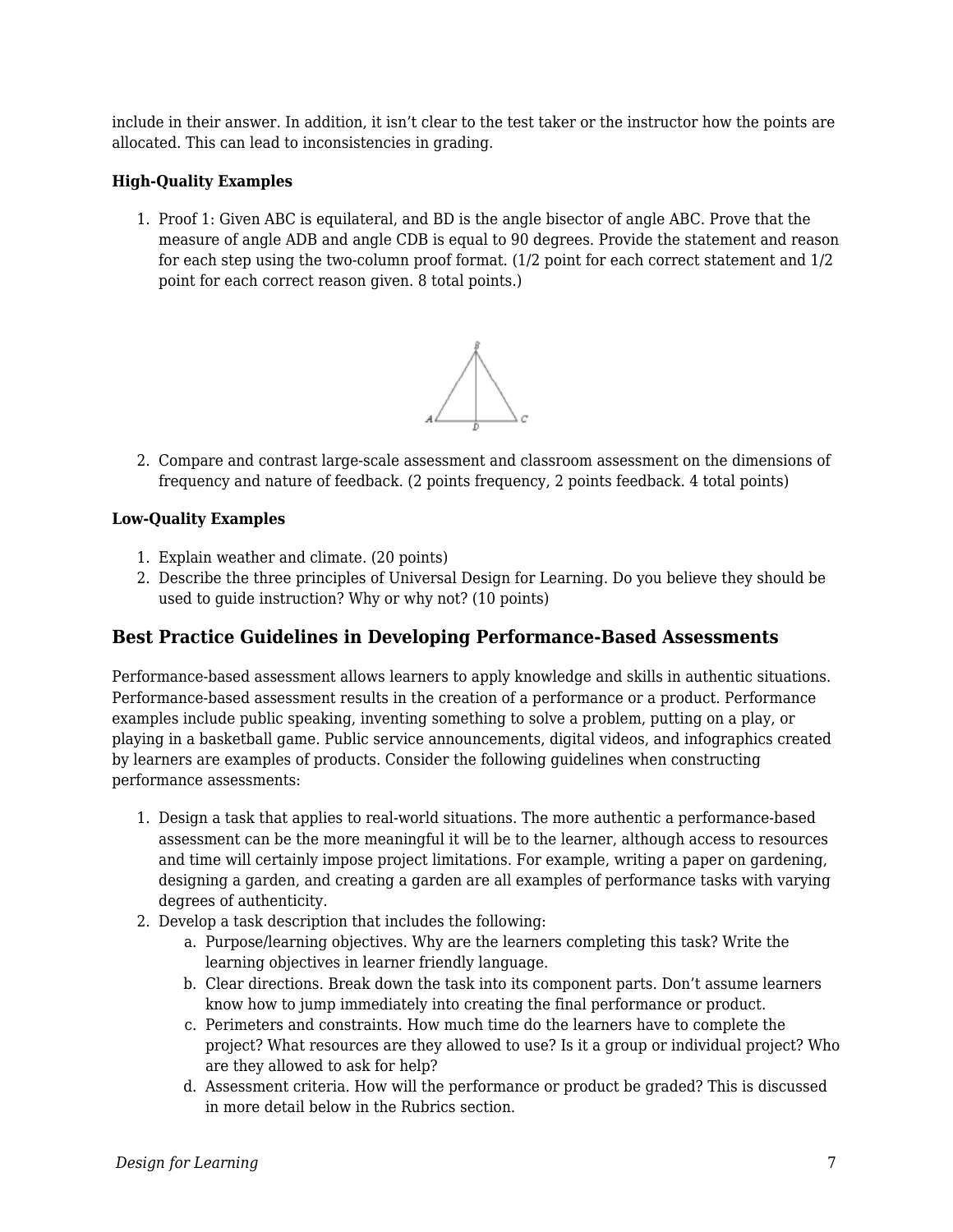include in their answer. In addition, it isn't clear to the test taker or the instructor how the points are allocated. This can lead to inconsistencies in grading.

#### **High-Quality Examples**

1. Proof 1: Given ABC is equilateral, and BD is the angle bisector of angle ABC. Prove that the measure of angle ADB and angle CDB is equal to 90 degrees. Provide the statement and reason for each step using the two-column proof format. (1/2 point for each correct statement and 1/2 point for each correct reason given. 8 total points.)



2. Compare and contrast large-scale assessment and classroom assessment on the dimensions of frequency and nature of feedback. (2 points frequency, 2 points feedback. 4 total points)

#### **Low-Quality Examples**

- 1. Explain weather and climate. (20 points)
- 2. Describe the three principles of Universal Design for Learning. Do you believe they should be used to guide instruction? Why or why not? (10 points)

#### **Best Practice Guidelines in Developing Performance-Based Assessments**

Performance-based assessment allows learners to apply knowledge and skills in authentic situations. Performance-based assessment results in the creation of a performance or a product. Performance examples include public speaking, inventing something to solve a problem, putting on a play, or playing in a basketball game. Public service announcements, digital videos, and infographics created by learners are examples of products. Consider the following guidelines when constructing performance assessments:

- 1. Design a task that applies to real-world situations. The more authentic a performance-based assessment can be the more meaningful it will be to the learner, although access to resources and time will certainly impose project limitations. For example, writing a paper on gardening, designing a garden, and creating a garden are all examples of performance tasks with varying degrees of authenticity.
- 2. Develop a task description that includes the following:
	- a. Purpose/learning objectives. Why are the learners completing this task? Write the learning objectives in learner friendly language.
	- b. Clear directions. Break down the task into its component parts. Don't assume learners know how to jump immediately into creating the final performance or product.
	- c. Perimeters and constraints. How much time do the learners have to complete the project? What resources are they allowed to use? Is it a group or individual project? Who are they allowed to ask for help?
	- d. Assessment criteria. How will the performance or product be graded? This is discussed in more detail below in the Rubrics section.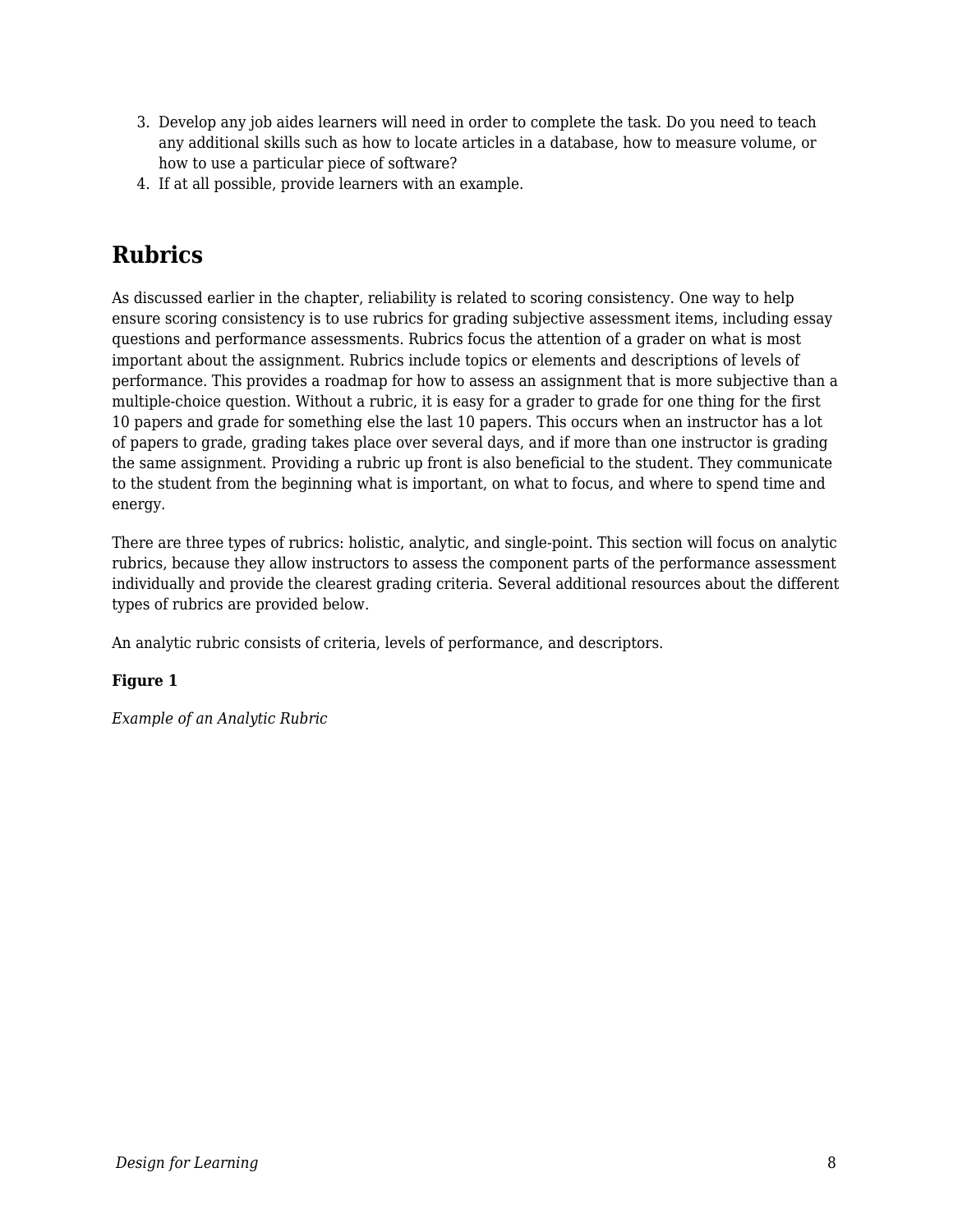- 3. Develop any job aides learners will need in order to complete the task. Do you need to teach any additional skills such as how to locate articles in a database, how to measure volume, or how to use a particular piece of software?
- 4. If at all possible, provide learners with an example.

# **Rubrics**

As discussed earlier in the chapter, reliability is related to scoring consistency. One way to help ensure scoring consistency is to use rubrics for grading subjective assessment items, including essay questions and performance assessments. Rubrics focus the attention of a grader on what is most important about the assignment. Rubrics include topics or elements and descriptions of levels of performance. This provides a roadmap for how to assess an assignment that is more subjective than a multiple-choice question. Without a rubric, it is easy for a grader to grade for one thing for the first 10 papers and grade for something else the last 10 papers. This occurs when an instructor has a lot of papers to grade, grading takes place over several days, and if more than one instructor is grading the same assignment. Providing a rubric up front is also beneficial to the student. They communicate to the student from the beginning what is important, on what to focus, and where to spend time and energy.

There are three types of rubrics: holistic, analytic, and single-point. This section will focus on analytic rubrics, because they allow instructors to assess the component parts of the performance assessment individually and provide the clearest grading criteria. Several additional resources about the different types of rubrics are provided below.

An analytic rubric consists of criteria, levels of performance, and descriptors.

#### **Figure 1**

*Example of an Analytic Rubric*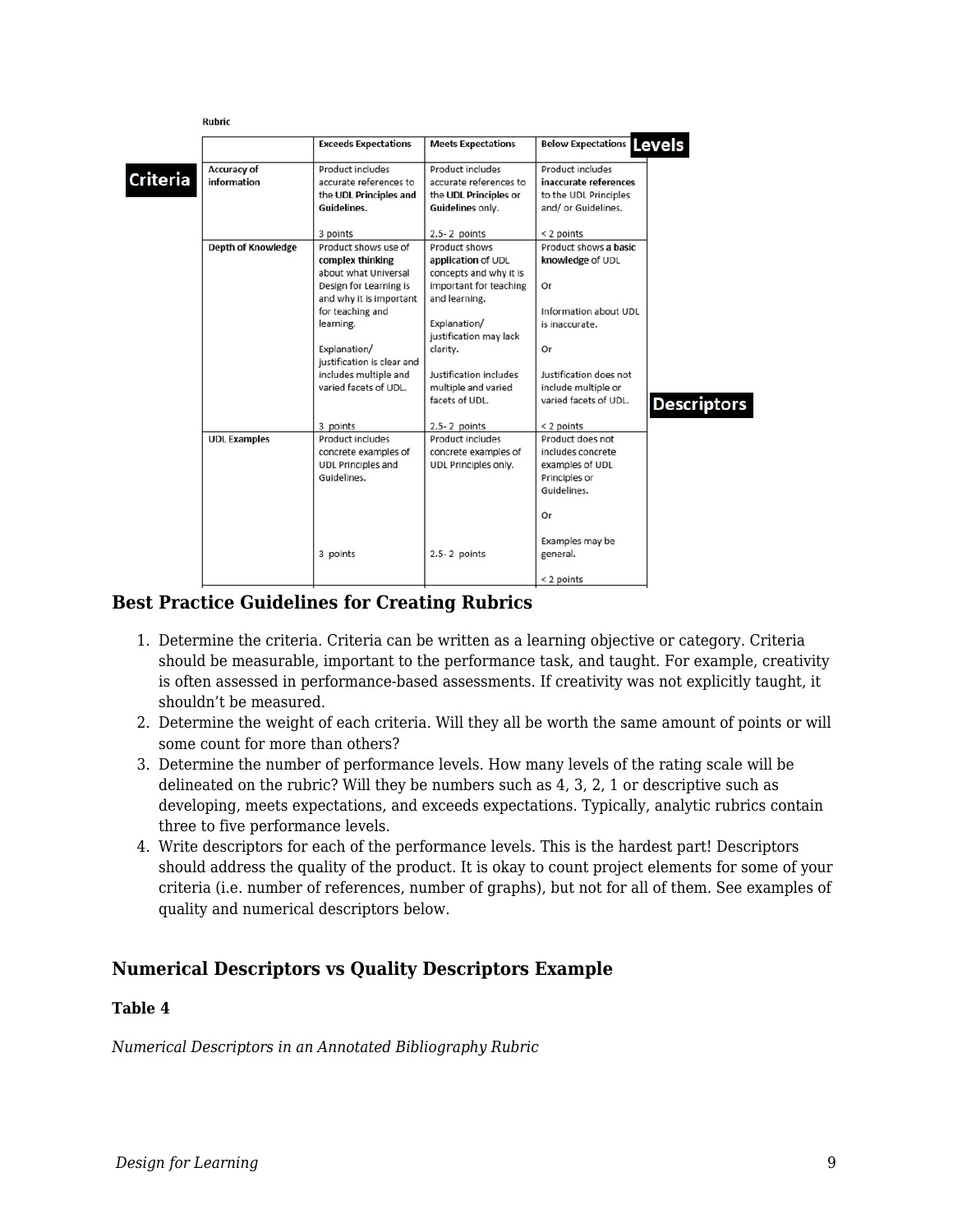|                           | <b>Exceeds Expectations</b> | <b>Meets Expectations</b> | <b>Below Expectations Levels</b> |
|---------------------------|-----------------------------|---------------------------|----------------------------------|
| Accuracy of               | Product includes            | Product includes          | Product includes                 |
| information               | accurate references to      | accurate references to    | inaccurate references            |
|                           | the UDL Principles and      | the UDL Principles or     | to the UDL Principles            |
|                           | Guidelines.                 | Guidelines only.          | and/ or Guidelines.              |
|                           | 3 points                    | $2.5 - 2$ points          | < 2 points                       |
| <b>Depth of Knowledge</b> | Product shows use of        | Product shows             | Product shows a basic            |
|                           | complex thinking            | application of UDL        | knowledge of UDL                 |
|                           | about what Universal        | concepts and why it is    |                                  |
|                           | Design for Learning is      | important for teaching    | Or                               |
|                           | and why it is important     | and learning.             |                                  |
|                           | for teaching and            |                           | Information about UDL            |
|                           | learning.                   | Explanation/              | is inaccurate.                   |
|                           |                             | justification may lack    |                                  |
|                           | Explanation/                | clarity.                  | Or                               |
|                           | justification is clear and  |                           |                                  |
|                           | includes multiple and       | Justification includes    | Justification does not           |
|                           | varied facets of UDL.       | multiple and varied       | include multiple or              |
|                           |                             | facets of UDL.            | varied facets of UDL.            |
|                           | 3 points                    | $2.5 - 2$ points          | < 2 points                       |
| <b>UDL Examples</b>       | Product includes            | Product includes          | Product does not                 |
|                           | concrete examples of        | concrete examples of      | includes concrete                |
|                           | <b>UDL Principles and</b>   | UDL Principles only.      | examples of UDL                  |
|                           | Guidelines.                 |                           | Principles or                    |
|                           |                             |                           | Guidelines.                      |
|                           |                             |                           | Or                               |
|                           |                             |                           | Examples may be                  |
|                           | 3 points                    | $2.5 - 2$ points          | general.                         |
|                           |                             |                           | $<$ 2 points                     |

#### **Best Practice Guidelines for Creating Rubrics**

- 1. Determine the criteria. Criteria can be written as a learning objective or category. Criteria should be measurable, important to the performance task, and taught. For example, creativity is often assessed in performance-based assessments. If creativity was not explicitly taught, it shouldn't be measured.
- 2. Determine the weight of each criteria. Will they all be worth the same amount of points or will some count for more than others?
- 3. Determine the number of performance levels. How many levels of the rating scale will be delineated on the rubric? Will they be numbers such as 4, 3, 2, 1 or descriptive such as developing, meets expectations, and exceeds expectations. Typically, analytic rubrics contain three to five performance levels.
- 4. Write descriptors for each of the performance levels. This is the hardest part! Descriptors should address the quality of the product. It is okay to count project elements for some of your criteria (i.e. number of references, number of graphs), but not for all of them. See examples of quality and numerical descriptors below.

## **Numerical Descriptors vs Quality Descriptors Example**

#### **Table 4**

*Numerical Descriptors in an Annotated Bibliography Rubric*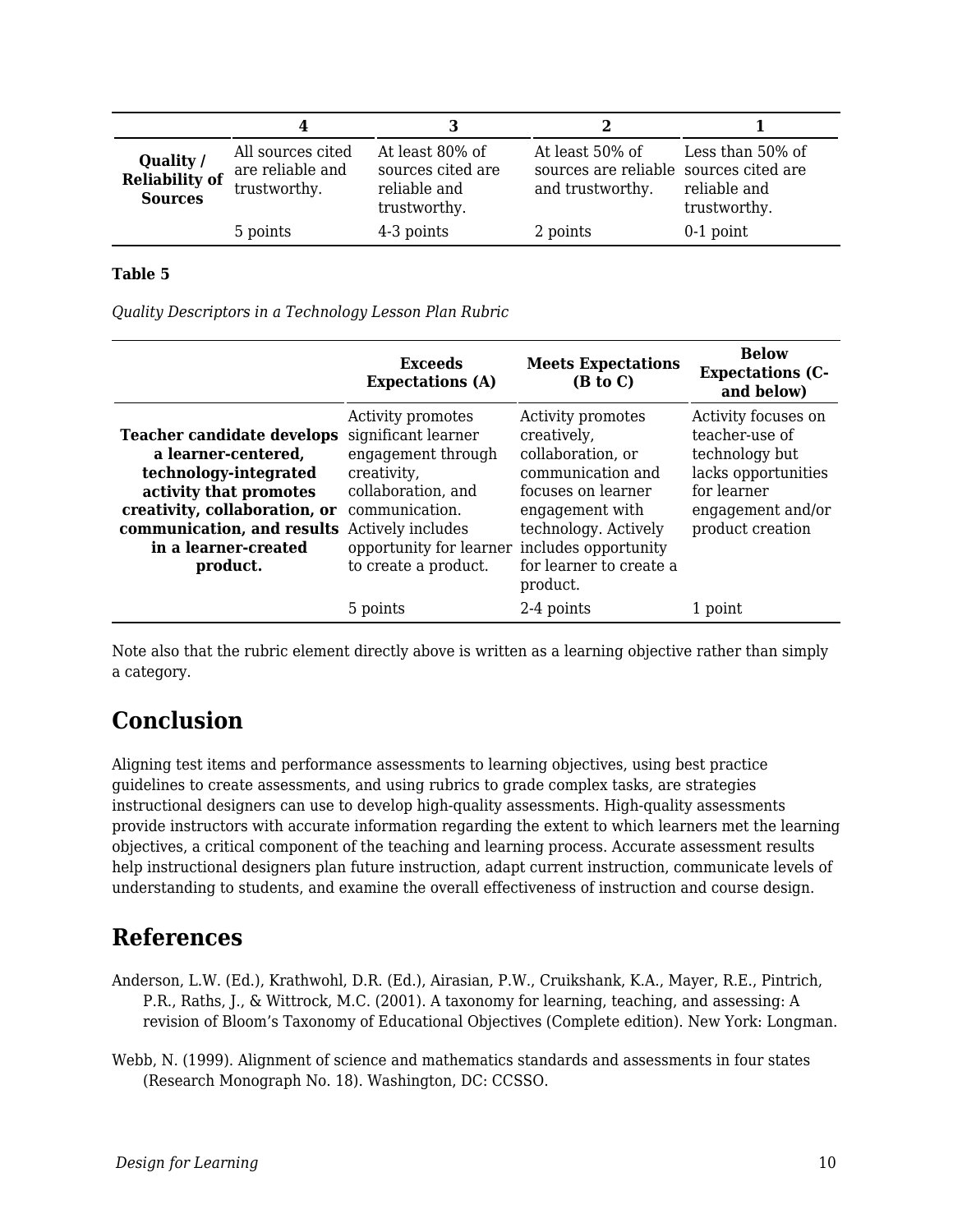| Quality /<br><b>Reliability of</b><br><b>Sources</b> | All sources cited<br>are reliable and<br>trustworthy. | At least 80% of<br>sources cited are<br>reliable and<br>trustworthy. | At least 50% of<br>sources are reliable sources cited are<br>and trustworthy. | Less than 50% of<br>reliable and<br>trustworthy. |
|------------------------------------------------------|-------------------------------------------------------|----------------------------------------------------------------------|-------------------------------------------------------------------------------|--------------------------------------------------|
|                                                      | 5 points                                              | 4-3 points                                                           | 2 points                                                                      | $0-1$ point                                      |

**Table 5**

*Quality Descriptors in a Technology Lesson Plan Rubric*

|                                                                                                                                                                                                                                  | <b>Exceeds</b><br><b>Expectations (A)</b>                                                                                                                                                     | <b>Meets Expectations</b><br>(B to C)                                                                                                                                              | <b>Below</b><br><b>Expectations (C-</b><br>and below)                                                                                  |
|----------------------------------------------------------------------------------------------------------------------------------------------------------------------------------------------------------------------------------|-----------------------------------------------------------------------------------------------------------------------------------------------------------------------------------------------|------------------------------------------------------------------------------------------------------------------------------------------------------------------------------------|----------------------------------------------------------------------------------------------------------------------------------------|
| <b>Teacher candidate develops</b><br>a learner-centered,<br>technology-integrated<br>activity that promotes<br>creativity, collaboration, or<br>communication, and results Actively includes<br>in a learner-created<br>product. | Activity promotes<br>significant learner<br>engagement through<br>creativity,<br>collaboration, and<br>communication.<br>opportunity for learner includes opportunity<br>to create a product. | Activity promotes<br>creatively,<br>collaboration, or<br>communication and<br>focuses on learner<br>engagement with<br>technology. Actively<br>for learner to create a<br>product. | Activity focuses on<br>teacher-use of<br>technology but<br>lacks opportunities<br>for learner<br>engagement and/or<br>product creation |
|                                                                                                                                                                                                                                  | 5 points                                                                                                                                                                                      | 2-4 points                                                                                                                                                                         | 1 point                                                                                                                                |

Note also that the rubric element directly above is written as a learning objective rather than simply a category.

# **Conclusion**

Aligning test items and performance assessments to learning objectives, using best practice guidelines to create assessments, and using rubrics to grade complex tasks, are strategies instructional designers can use to develop high-quality assessments. High-quality assessments provide instructors with accurate information regarding the extent to which learners met the learning objectives, a critical component of the teaching and learning process. Accurate assessment results help instructional designers plan future instruction, adapt current instruction, communicate levels of understanding to students, and examine the overall effectiveness of instruction and course design.

# **References**

Anderson, L.W. (Ed.), Krathwohl, D.R. (Ed.), Airasian, P.W., Cruikshank, K.A., Mayer, R.E., Pintrich, P.R., Raths, J., & Wittrock, M.C. (2001). A taxonomy for learning, teaching, and assessing: A revision of Bloom's Taxonomy of Educational Objectives (Complete edition). New York: Longman.

Webb, N. (1999). Alignment of science and mathematics standards and assessments in four states (Research Monograph No. 18). Washington, DC: CCSSO.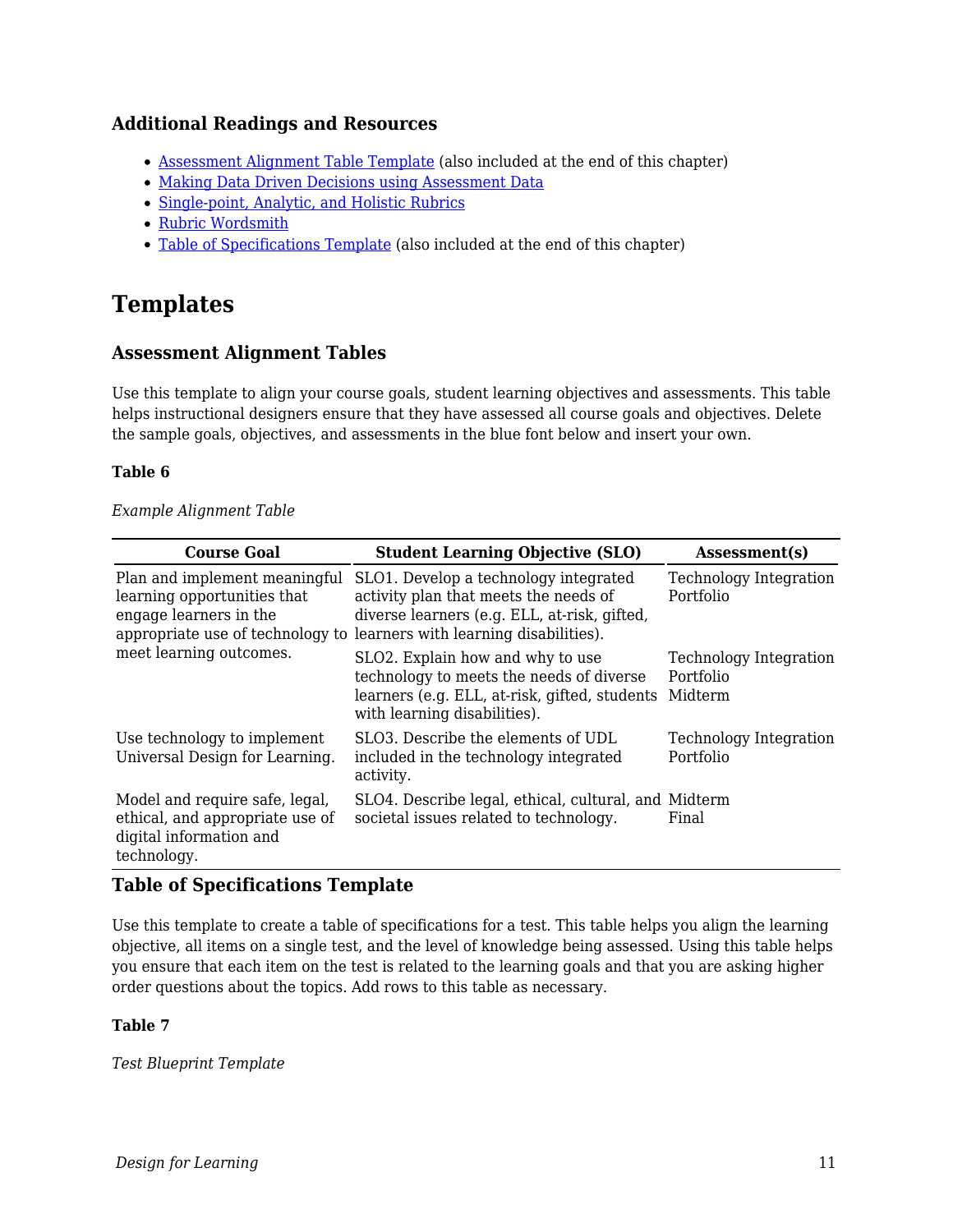#### **Additional Readings and Resources**

- [Assessment Alignment Table Template](https://docs.google.com/document/d/1JoTElBJjn1hoPRB1fuUJvXZsR-GA62_smyVV1bbodLc/edit?usp=sharing) (also included at the end of this chapter)
- [Making Data Driven Decisions using Assessment Data](https://docs.google.com/document/d/1gcAOPCr2qqR9WriIl6M0EanVz202W0UsuAaPPodPmOI/edit?usp=sharing)
- [Single-point, Analytic, and Holistic Rubrics](https://www.cultofpedagogy.com/holistic-analytic-single-point-rubrics/)
- [Rubric Wordsmith](https://www.aac.ab.ca/wp-content/uploads/Rubrics/BBRp18-23.pdf)
- [Table of Specifications Template](https://docs.google.com/document/d/1kGTkw0LtVB8aWOG3fOYDxpR5H5FP_AxbJ62eH1sWZLA/edit?usp=sharing) (also included at the end of this chapter)

# **Templates**

#### **Assessment Alignment Tables**

Use this template to align your course goals, student learning objectives and assessments. This table helps instructional designers ensure that they have assessed all course goals and objectives. Delete the sample goals, objectives, and assessments in the blue font below and insert your own.

#### **Table 6**

#### *Example Alignment Table*

| <b>Course Goal</b>                                                                                          | <b>Student Learning Objective (SLO)</b>                                                                                                                                                                  | Assessment(s)                                  |
|-------------------------------------------------------------------------------------------------------------|----------------------------------------------------------------------------------------------------------------------------------------------------------------------------------------------------------|------------------------------------------------|
| Plan and implement meaningful<br>learning opportunities that<br>engage learners in the                      | SLO1. Develop a technology integrated<br>activity plan that meets the needs of<br>diverse learners (e.g. ELL, at-risk, gifted,<br>appropriate use of technology to learners with learning disabilities). | Technology Integration<br>Portfolio            |
| meet learning outcomes.                                                                                     | SLO <sub>2</sub> . Explain how and why to use<br>technology to meets the needs of diverse<br>learners (e.g. ELL, at-risk, gifted, students<br>with learning disabilities).                               | Technology Integration<br>Portfolio<br>Midterm |
| Use technology to implement<br>Universal Design for Learning.                                               | SLO3. Describe the elements of UDL<br>included in the technology integrated<br>activity.                                                                                                                 | Technology Integration<br>Portfolio            |
| Model and require safe, legal,<br>ethical, and appropriate use of<br>digital information and<br>technology. | SLO4. Describe legal, ethical, cultural, and Midterm<br>societal issues related to technology.                                                                                                           | Final                                          |

#### **Table of Specifications Template**

Use this template to create a table of specifications for a test. This table helps you align the learning objective, all items on a single test, and the level of knowledge being assessed. Using this table helps you ensure that each item on the test is related to the learning goals and that you are asking higher order questions about the topics. Add rows to this table as necessary.

#### **Table 7**

*Test Blueprint Template*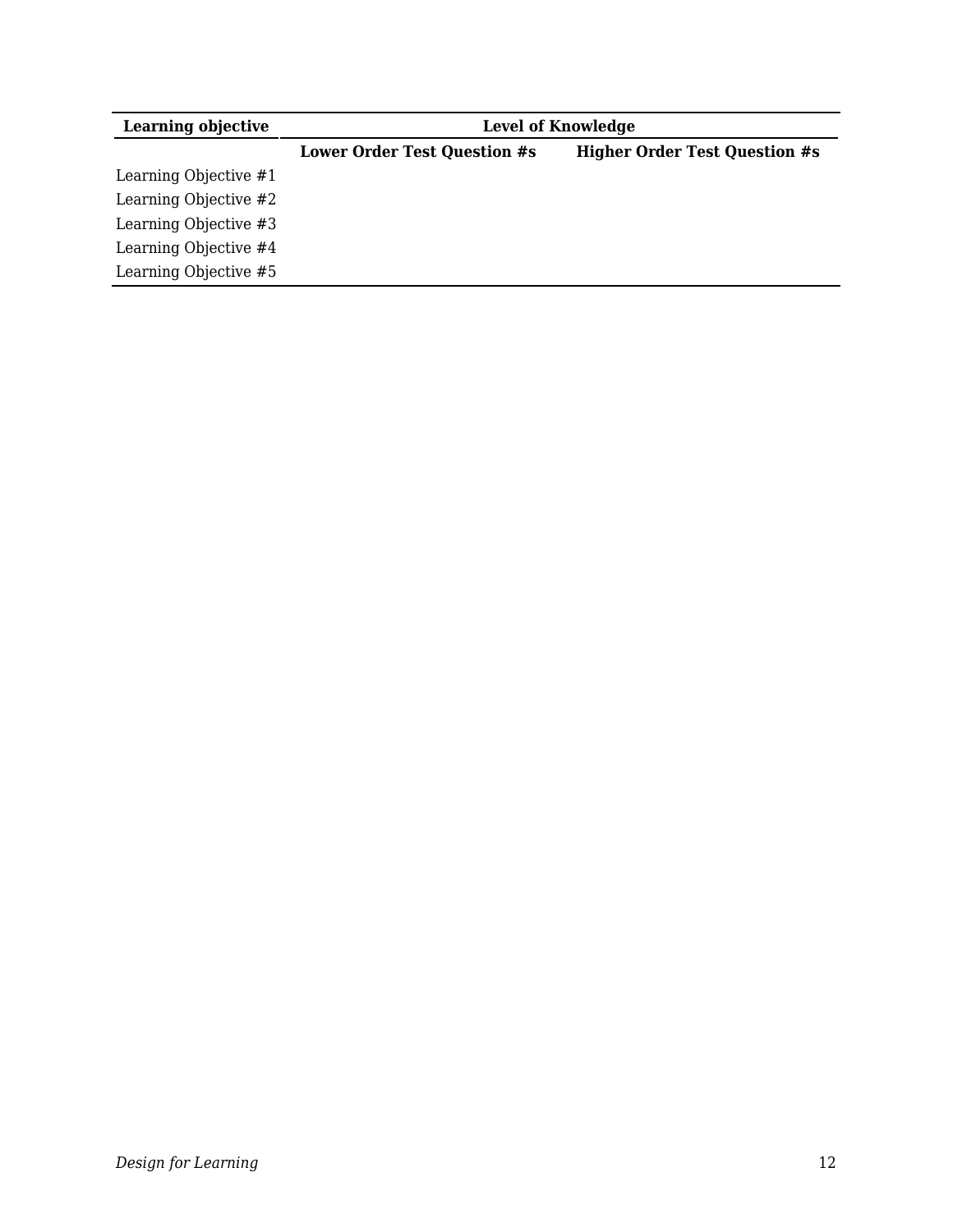| <b>Learning objective</b> | <b>Level of Knowledge</b>           |                                      |
|---------------------------|-------------------------------------|--------------------------------------|
|                           | <b>Lower Order Test Question #s</b> | <b>Higher Order Test Question #s</b> |
| Learning Objective #1     |                                     |                                      |
| Learning Objective #2     |                                     |                                      |
| Learning Objective #3     |                                     |                                      |
| Learning Objective #4     |                                     |                                      |
| Learning Objective #5     |                                     |                                      |